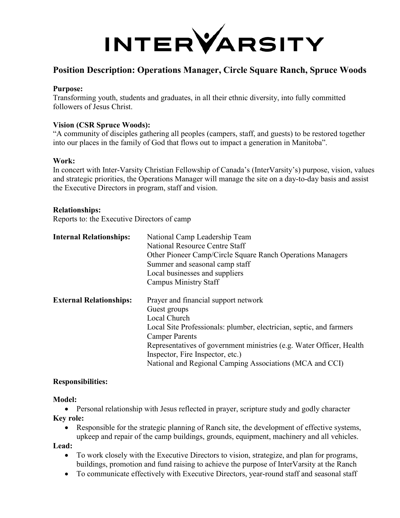

# **Position Description: Operations Manager, Circle Square Ranch, Spruce Woods**

#### **Purpose:**

Transforming youth, students and graduates, in all their ethnic diversity, into fully committed followers of Jesus Christ.

#### **Vision (CSR Spruce Woods):**

"A community of disciples gathering all peoples (campers, staff, and guests) to be restored together into our places in the family of God that flows out to impact a generation in Manitoba".

#### **Work:**

In concert with Inter-Varsity Christian Fellowship of Canada's (InterVarsity's) purpose, vision, values and strategic priorities, the Operations Manager will manage the site on a day-to-day basis and assist the Executive Directors in program, staff and vision.

#### **Relationships:**

Reports to: the Executive Directors of camp

| <b>Internal Relationships:</b> | National Camp Leadership Team<br>National Resource Centre Staff<br>Other Pioneer Camp/Circle Square Ranch Operations Managers<br>Summer and seasonal camp staff<br>Local businesses and suppliers<br><b>Campus Ministry Staff</b>                                                                                                            |
|--------------------------------|----------------------------------------------------------------------------------------------------------------------------------------------------------------------------------------------------------------------------------------------------------------------------------------------------------------------------------------------|
| <b>External Relationships:</b> | Prayer and financial support network<br>Guest groups<br>Local Church<br>Local Site Professionals: plumber, electrician, septic, and farmers<br><b>Camper Parents</b><br>Representatives of government ministries (e.g. Water Officer, Health<br>Inspector, Fire Inspector, etc.)<br>National and Regional Camping Associations (MCA and CCI) |

#### **Responsibilities:**

#### **Model:**

• Personal relationship with Jesus reflected in prayer, scripture study and godly character **Key role:**

• Responsible for the strategic planning of Ranch site, the development of effective systems, upkeep and repair of the camp buildings, grounds, equipment, machinery and all vehicles.

**Lead:**

- To work closely with the Executive Directors to vision, strategize, and plan for programs, buildings, promotion and fund raising to achieve the purpose of InterVarsity at the Ranch
- To communicate effectively with Executive Directors, year-round staff and seasonal staff